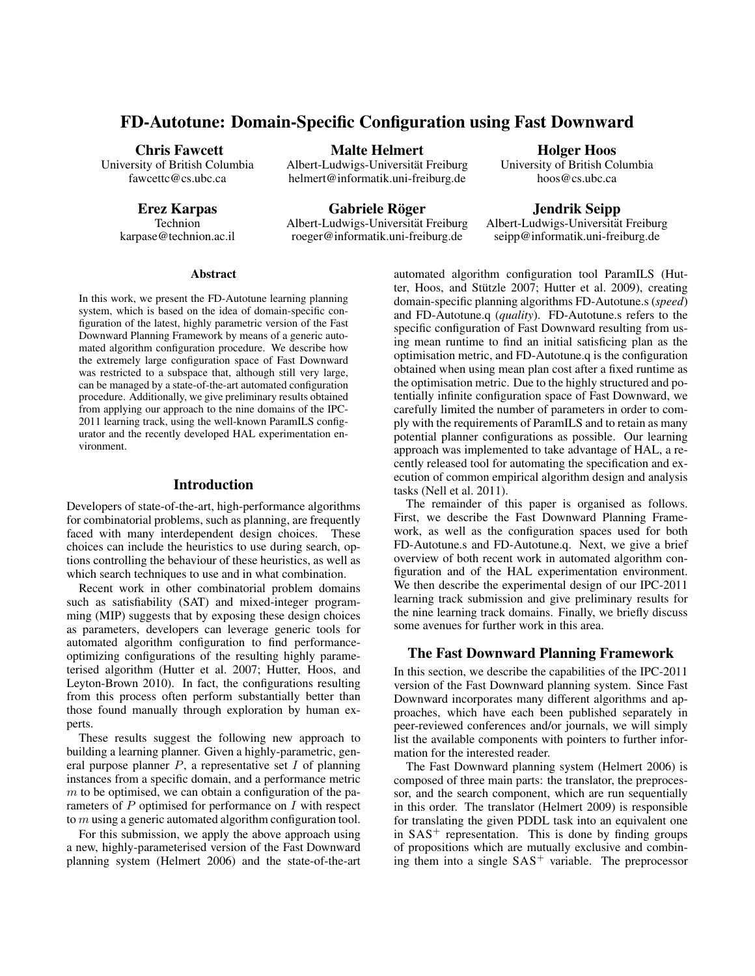# FD-Autotune: Domain-Specific Configuration using Fast Downward

#### Chris Fawcett

University of British Columbia fawcettc@cs.ubc.ca

Erez Karpas

Technion karpase@technion.ac.il

Malte Helmert

Albert-Ludwigs-Universität Freiburg helmert@informatik.uni-freiburg.de

Gabriele Röger Albert-Ludwigs-Universitat Freiburg ¨ roeger@informatik.uni-freiburg.de

Holger Hoos

University of British Columbia hoos@cs.ubc.ca

Jendrik Seipp

Albert-Ludwigs-Universitat Freiburg ¨ seipp@informatik.uni-freiburg.de

### **Abstract**

In this work, we present the FD-Autotune learning planning system, which is based on the idea of domain-specific configuration of the latest, highly parametric version of the Fast Downward Planning Framework by means of a generic automated algorithm configuration procedure. We describe how the extremely large configuration space of Fast Downward was restricted to a subspace that, although still very large, can be managed by a state-of-the-art automated configuration procedure. Additionally, we give preliminary results obtained from applying our approach to the nine domains of the IPC-2011 learning track, using the well-known ParamILS configurator and the recently developed HAL experimentation environment.

### Introduction

Developers of state-of-the-art, high-performance algorithms for combinatorial problems, such as planning, are frequently faced with many interdependent design choices. These choices can include the heuristics to use during search, options controlling the behaviour of these heuristics, as well as which search techniques to use and in what combination.

Recent work in other combinatorial problem domains such as satisfiability (SAT) and mixed-integer programming (MIP) suggests that by exposing these design choices as parameters, developers can leverage generic tools for automated algorithm configuration to find performanceoptimizing configurations of the resulting highly parameterised algorithm (Hutter et al. 2007; Hutter, Hoos, and Leyton-Brown 2010). In fact, the configurations resulting from this process often perform substantially better than those found manually through exploration by human experts.

These results suggest the following new approach to building a learning planner. Given a highly-parametric, general purpose planner  $P$ , a representative set  $I$  of planning instances from a specific domain, and a performance metric  $m$  to be optimised, we can obtain a configuration of the parameters of P optimised for performance on I with respect to m using a generic automated algorithm configuration tool.

For this submission, we apply the above approach using a new, highly-parameterised version of the Fast Downward planning system (Helmert 2006) and the state-of-the-art

automated algorithm configuration tool ParamILS (Hutter, Hoos, and Stützle 2007; Hutter et al. 2009), creating domain-specific planning algorithms FD-Autotune.s (*speed*) and FD-Autotune.q (*quality*). FD-Autotune.s refers to the specific configuration of Fast Downward resulting from using mean runtime to find an initial satisficing plan as the optimisation metric, and FD-Autotune.q is the configuration obtained when using mean plan cost after a fixed runtime as the optimisation metric. Due to the highly structured and potentially infinite configuration space of Fast Downward, we carefully limited the number of parameters in order to comply with the requirements of ParamILS and to retain as many potential planner configurations as possible. Our learning approach was implemented to take advantage of HAL, a recently released tool for automating the specification and execution of common empirical algorithm design and analysis tasks (Nell et al. 2011).

The remainder of this paper is organised as follows. First, we describe the Fast Downward Planning Framework, as well as the configuration spaces used for both FD-Autotune.s and FD-Autotune.q. Next, we give a brief overview of both recent work in automated algorithm configuration and of the HAL experimentation environment. We then describe the experimental design of our IPC-2011 learning track submission and give preliminary results for the nine learning track domains. Finally, we briefly discuss some avenues for further work in this area.

# The Fast Downward Planning Framework

In this section, we describe the capabilities of the IPC-2011 version of the Fast Downward planning system. Since Fast Downward incorporates many different algorithms and approaches, which have each been published separately in peer-reviewed conferences and/or journals, we will simply list the available components with pointers to further information for the interested reader.

The Fast Downward planning system (Helmert 2006) is composed of three main parts: the translator, the preprocessor, and the search component, which are run sequentially in this order. The translator (Helmert 2009) is responsible for translating the given PDDL task into an equivalent one in  $SAS<sup>+</sup>$  representation. This is done by finding groups of propositions which are mutually exclusive and combining them into a single  $SAS<sup>+</sup>$  variable. The preprocessor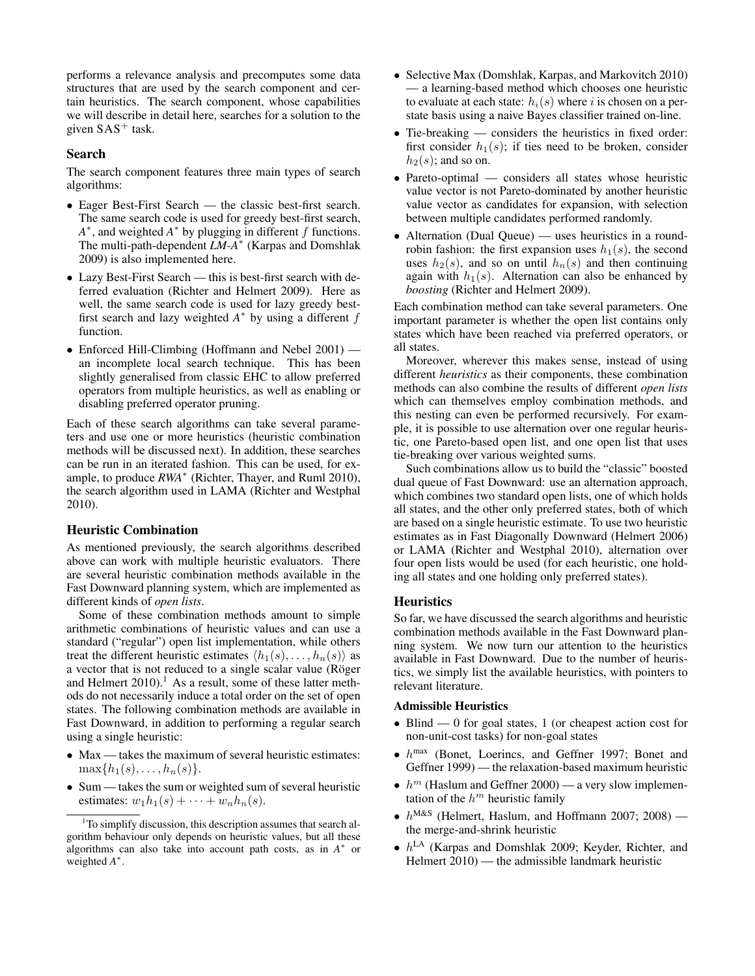performs a relevance analysis and precomputes some data structures that are used by the search component and certain heuristics. The search component, whose capabilities we will describe in detail here, searches for a solution to the given  $SAS^+$  task.

### Search

The search component features three main types of search algorithms:

- Eager Best-First Search the classic best-first search. The same search code is used for greedy best-first search,  $A^*$ , and weighted  $A^*$  by plugging in different f functions. The multi-path-dependent *LM-A*<sup>∗</sup> (Karpas and Domshlak 2009) is also implemented here.
- Lazy Best-First Search this is best-first search with deferred evaluation (Richter and Helmert 2009). Here as well, the same search code is used for lazy greedy bestfirst search and lazy weighted  $A^*$  by using a different  $f$ function.
- Enforced Hill-Climbing (Hoffmann and Nebel 2001) an incomplete local search technique. This has been slightly generalised from classic EHC to allow preferred operators from multiple heuristics, as well as enabling or disabling preferred operator pruning.

Each of these search algorithms can take several parameters and use one or more heuristics (heuristic combination methods will be discussed next). In addition, these searches can be run in an iterated fashion. This can be used, for example, to produce *RWA*<sup>∗</sup> (Richter, Thayer, and Ruml 2010), the search algorithm used in LAMA (Richter and Westphal 2010).

#### Heuristic Combination

As mentioned previously, the search algorithms described above can work with multiple heuristic evaluators. There are several heuristic combination methods available in the Fast Downward planning system, which are implemented as different kinds of *open lists*.

Some of these combination methods amount to simple arithmetic combinations of heuristic values and can use a standard ("regular") open list implementation, while others treat the different heuristic estimates  $\langle h_1(s), \ldots, h_n(s) \rangle$  as a vector that is not reduced to a single scalar value (Röger and Helmert  $2010$ .<sup>1</sup> As a result, some of these latter methods do not necessarily induce a total order on the set of open states. The following combination methods are available in Fast Downward, in addition to performing a regular search using a single heuristic:

- Max takes the maximum of several heuristic estimates:  $\max\{h_1(s), \ldots, h_n(s)\}.$
- Sum takes the sum or weighted sum of several heuristic estimates:  $w_1h_1(s) + \cdots + w_nh_n(s)$ .
- Selective Max (Domshlak, Karpas, and Markovitch 2010) — a learning-based method which chooses one heuristic to evaluate at each state:  $h_i(s)$  where i is chosen on a perstate basis using a naive Bayes classifier trained on-line.
- Tie-breaking considers the heuristics in fixed order: first consider  $h_1(s)$ ; if ties need to be broken, consider  $h_2(s)$ ; and so on.
- Pareto-optimal considers all states whose heuristic value vector is not Pareto-dominated by another heuristic value vector as candidates for expansion, with selection between multiple candidates performed randomly.
- Alternation (Dual Queue) uses heuristics in a roundrobin fashion: the first expansion uses  $h_1(s)$ , the second uses  $h_2(s)$ , and so on until  $h_n(s)$  and then continuing again with  $h_1(s)$ . Alternation can also be enhanced by *boosting* (Richter and Helmert 2009).

Each combination method can take several parameters. One important parameter is whether the open list contains only states which have been reached via preferred operators, or all states.

Moreover, wherever this makes sense, instead of using different *heuristics* as their components, these combination methods can also combine the results of different *open lists* which can themselves employ combination methods, and this nesting can even be performed recursively. For example, it is possible to use alternation over one regular heuristic, one Pareto-based open list, and one open list that uses tie-breaking over various weighted sums.

Such combinations allow us to build the "classic" boosted dual queue of Fast Downward: use an alternation approach, which combines two standard open lists, one of which holds all states, and the other only preferred states, both of which are based on a single heuristic estimate. To use two heuristic estimates as in Fast Diagonally Downward (Helmert 2006) or LAMA (Richter and Westphal 2010), alternation over four open lists would be used (for each heuristic, one holding all states and one holding only preferred states).

#### **Heuristics**

So far, we have discussed the search algorithms and heuristic combination methods available in the Fast Downward planning system. We now turn our attention to the heuristics available in Fast Downward. Due to the number of heuristics, we simply list the available heuristics, with pointers to relevant literature.

#### Admissible Heuristics

- Blind 0 for goal states, 1 (or cheapest action cost for non-unit-cost tasks) for non-goal states
- $\bullet$   $h^{\text{max}}$  (Bonet, Loerincs, and Geffner 1997; Bonet and Geffner 1999) — the relaxation-based maximum heuristic
- $h^m$  (Haslum and Geffner 2000) a very slow implementation of the  $h^m$  heuristic family
- $h^{\text{M&S}}$  (Helmert, Haslum, and Hoffmann 2007; 2008) the merge-and-shrink heuristic
- $h^{\text{LA}}$  (Karpas and Domshlak 2009; Keyder, Richter, and Helmert 2010) — the admissible landmark heuristic

<sup>&</sup>lt;sup>1</sup>To simplify discussion, this description assumes that search algorithm behaviour only depends on heuristic values, but all these algorithms can also take into account path costs, as in  $A^*$  or weighted *A* ∗ .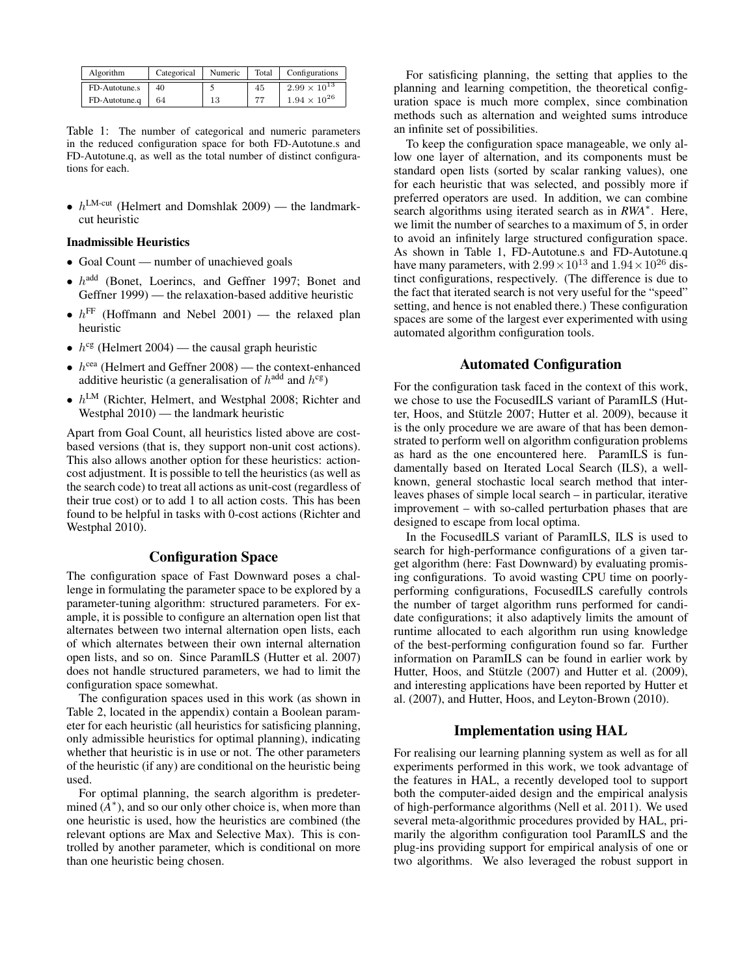| Algorithm     | Categorical | Numeric | Total | Configurations        |  |  |
|---------------|-------------|---------|-------|-----------------------|--|--|
| FD-Autotune.s | 40          |         | 45    | $2.99 \times 10^{13}$ |  |  |
| FD-Autotune.q | 64          | 13      | 77    | $1.94 \times 10^{26}$ |  |  |

Table 1: The number of categorical and numeric parameters in the reduced configuration space for both FD-Autotune.s and FD-Autotune.q, as well as the total number of distinct configurations for each.

•  $h^{\text{LM-cut}}$  (Helmert and Domshlak 2009) — the landmarkcut heuristic

#### Inadmissible Heuristics

- Goal Count number of unachieved goals
- $\bullet$   $h^{\text{add}}$  (Bonet, Loerincs, and Geffner 1997; Bonet and Geffner 1999) — the relaxation-based additive heuristic
- $h^{\text{FF}}$  (Hoffmann and Nebel 2001) the relaxed plan heuristic
- $h^{\text{cg}}$  (Helmert 2004) the causal graph heuristic
- $h^{\text{cea}}$  (Helmert and Geffner 2008) the context-enhanced additive heuristic (a generalisation of  $h^{\text{add}}$  and  $h^{\text{cg}}$ )
- $h^{\text{LM}}$  (Richter, Helmert, and Westphal 2008; Richter and Westphal 2010) — the landmark heuristic

Apart from Goal Count, all heuristics listed above are costbased versions (that is, they support non-unit cost actions). This also allows another option for these heuristics: actioncost adjustment. It is possible to tell the heuristics (as well as the search code) to treat all actions as unit-cost (regardless of their true cost) or to add 1 to all action costs. This has been found to be helpful in tasks with 0-cost actions (Richter and Westphal 2010).

# Configuration Space

The configuration space of Fast Downward poses a challenge in formulating the parameter space to be explored by a parameter-tuning algorithm: structured parameters. For example, it is possible to configure an alternation open list that alternates between two internal alternation open lists, each of which alternates between their own internal alternation open lists, and so on. Since ParamILS (Hutter et al. 2007) does not handle structured parameters, we had to limit the configuration space somewhat.

The configuration spaces used in this work (as shown in Table 2, located in the appendix) contain a Boolean parameter for each heuristic (all heuristics for satisficing planning, only admissible heuristics for optimal planning), indicating whether that heuristic is in use or not. The other parameters of the heuristic (if any) are conditional on the heuristic being used.

For optimal planning, the search algorithm is predetermined  $(A^*)$ , and so our only other choice is, when more than one heuristic is used, how the heuristics are combined (the relevant options are Max and Selective Max). This is controlled by another parameter, which is conditional on more than one heuristic being chosen.

For satisficing planning, the setting that applies to the planning and learning competition, the theoretical configuration space is much more complex, since combination methods such as alternation and weighted sums introduce an infinite set of possibilities.

To keep the configuration space manageable, we only allow one layer of alternation, and its components must be standard open lists (sorted by scalar ranking values), one for each heuristic that was selected, and possibly more if preferred operators are used. In addition, we can combine search algorithms using iterated search as in *RWA*<sup>∗</sup> . Here, we limit the number of searches to a maximum of 5, in order to avoid an infinitely large structured configuration space. As shown in Table 1, FD-Autotune.s and FD-Autotune.q have many parameters, with  $2.99 \times 10^{13}$  and  $1.94 \times 10^{26}$  distinct configurations, respectively. (The difference is due to the fact that iterated search is not very useful for the "speed" setting, and hence is not enabled there.) These configuration spaces are some of the largest ever experimented with using automated algorithm configuration tools.

# Automated Configuration

For the configuration task faced in the context of this work, we chose to use the FocusedILS variant of ParamILS (Hutter, Hoos, and Stützle 2007; Hutter et al. 2009), because it is the only procedure we are aware of that has been demonstrated to perform well on algorithm configuration problems as hard as the one encountered here. ParamILS is fundamentally based on Iterated Local Search (ILS), a wellknown, general stochastic local search method that interleaves phases of simple local search – in particular, iterative improvement – with so-called perturbation phases that are designed to escape from local optima.

In the FocusedILS variant of ParamILS, ILS is used to search for high-performance configurations of a given target algorithm (here: Fast Downward) by evaluating promising configurations. To avoid wasting CPU time on poorlyperforming configurations, FocusedILS carefully controls the number of target algorithm runs performed for candidate configurations; it also adaptively limits the amount of runtime allocated to each algorithm run using knowledge of the best-performing configuration found so far. Further information on ParamILS can be found in earlier work by Hutter, Hoos, and Stützle (2007) and Hutter et al. (2009), and interesting applications have been reported by Hutter et al. (2007), and Hutter, Hoos, and Leyton-Brown (2010).

### Implementation using HAL

For realising our learning planning system as well as for all experiments performed in this work, we took advantage of the features in HAL, a recently developed tool to support both the computer-aided design and the empirical analysis of high-performance algorithms (Nell et al. 2011). We used several meta-algorithmic procedures provided by HAL, primarily the algorithm configuration tool ParamILS and the plug-ins providing support for empirical analysis of one or two algorithms. We also leveraged the robust support in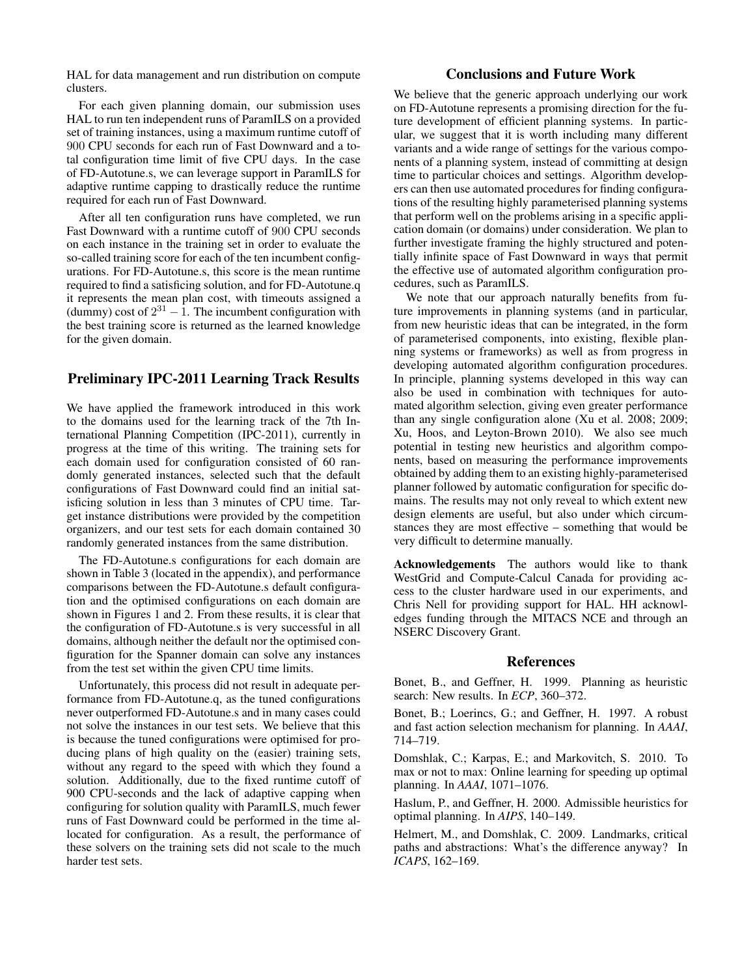HAL for data management and run distribution on compute clusters.

For each given planning domain, our submission uses HAL to run ten independent runs of ParamILS on a provided set of training instances, using a maximum runtime cutoff of 900 CPU seconds for each run of Fast Downward and a total configuration time limit of five CPU days. In the case of FD-Autotune.s, we can leverage support in ParamILS for adaptive runtime capping to drastically reduce the runtime required for each run of Fast Downward.

After all ten configuration runs have completed, we run Fast Downward with a runtime cutoff of 900 CPU seconds on each instance in the training set in order to evaluate the so-called training score for each of the ten incumbent configurations. For FD-Autotune.s, this score is the mean runtime required to find a satisficing solution, and for FD-Autotune.q it represents the mean plan cost, with timeouts assigned a (dummy) cost of  $2^{31} - 1$ . The incumbent configuration with the best training score is returned as the learned knowledge for the given domain.

# Preliminary IPC-2011 Learning Track Results

We have applied the framework introduced in this work to the domains used for the learning track of the 7th International Planning Competition (IPC-2011), currently in progress at the time of this writing. The training sets for each domain used for configuration consisted of 60 randomly generated instances, selected such that the default configurations of Fast Downward could find an initial satisficing solution in less than 3 minutes of CPU time. Target instance distributions were provided by the competition organizers, and our test sets for each domain contained 30 randomly generated instances from the same distribution.

The FD-Autotune.s configurations for each domain are shown in Table 3 (located in the appendix), and performance comparisons between the FD-Autotune.s default configuration and the optimised configurations on each domain are shown in Figures 1 and 2. From these results, it is clear that the configuration of FD-Autotune.s is very successful in all domains, although neither the default nor the optimised configuration for the Spanner domain can solve any instances from the test set within the given CPU time limits.

Unfortunately, this process did not result in adequate performance from FD-Autotune.q, as the tuned configurations never outperformed FD-Autotune.s and in many cases could not solve the instances in our test sets. We believe that this is because the tuned configurations were optimised for producing plans of high quality on the (easier) training sets, without any regard to the speed with which they found a solution. Additionally, due to the fixed runtime cutoff of 900 CPU-seconds and the lack of adaptive capping when configuring for solution quality with ParamILS, much fewer runs of Fast Downward could be performed in the time allocated for configuration. As a result, the performance of these solvers on the training sets did not scale to the much harder test sets.

# Conclusions and Future Work

We believe that the generic approach underlying our work on FD-Autotune represents a promising direction for the future development of efficient planning systems. In particular, we suggest that it is worth including many different variants and a wide range of settings for the various components of a planning system, instead of committing at design time to particular choices and settings. Algorithm developers can then use automated procedures for finding configurations of the resulting highly parameterised planning systems that perform well on the problems arising in a specific application domain (or domains) under consideration. We plan to further investigate framing the highly structured and potentially infinite space of Fast Downward in ways that permit the effective use of automated algorithm configuration procedures, such as ParamILS.

We note that our approach naturally benefits from future improvements in planning systems (and in particular, from new heuristic ideas that can be integrated, in the form of parameterised components, into existing, flexible planning systems or frameworks) as well as from progress in developing automated algorithm configuration procedures. In principle, planning systems developed in this way can also be used in combination with techniques for automated algorithm selection, giving even greater performance than any single configuration alone (Xu et al. 2008; 2009; Xu, Hoos, and Leyton-Brown 2010). We also see much potential in testing new heuristics and algorithm components, based on measuring the performance improvements obtained by adding them to an existing highly-parameterised planner followed by automatic configuration for specific domains. The results may not only reveal to which extent new design elements are useful, but also under which circumstances they are most effective – something that would be very difficult to determine manually.

Acknowledgements The authors would like to thank WestGrid and Compute-Calcul Canada for providing access to the cluster hardware used in our experiments, and Chris Nell for providing support for HAL. HH acknowledges funding through the MITACS NCE and through an NSERC Discovery Grant.

### References

Bonet, B., and Geffner, H. 1999. Planning as heuristic search: New results. In *ECP*, 360–372.

Bonet, B.; Loerincs, G.; and Geffner, H. 1997. A robust and fast action selection mechanism for planning. In *AAAI*, 714–719.

Domshlak, C.; Karpas, E.; and Markovitch, S. 2010. To max or not to max: Online learning for speeding up optimal planning. In *AAAI*, 1071–1076.

Haslum, P., and Geffner, H. 2000. Admissible heuristics for optimal planning. In *AIPS*, 140–149.

Helmert, M., and Domshlak, C. 2009. Landmarks, critical paths and abstractions: What's the difference anyway? In *ICAPS*, 162–169.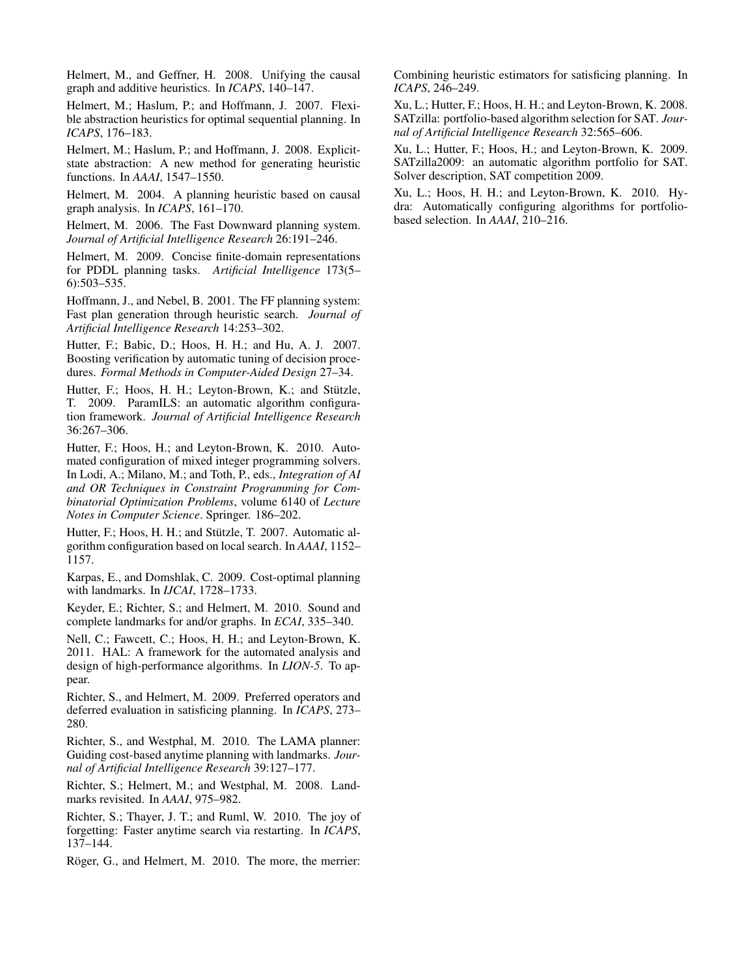Helmert, M., and Geffner, H. 2008. Unifying the causal graph and additive heuristics. In *ICAPS*, 140–147.

Helmert, M.; Haslum, P.; and Hoffmann, J. 2007. Flexible abstraction heuristics for optimal sequential planning. In *ICAPS*, 176–183.

Helmert, M.; Haslum, P.; and Hoffmann, J. 2008. Explicitstate abstraction: A new method for generating heuristic functions. In *AAAI*, 1547–1550.

Helmert, M. 2004. A planning heuristic based on causal graph analysis. In *ICAPS*, 161–170.

Helmert, M. 2006. The Fast Downward planning system. *Journal of Artificial Intelligence Research* 26:191–246.

Helmert, M. 2009. Concise finite-domain representations for PDDL planning tasks. *Artificial Intelligence* 173(5– 6):503–535.

Hoffmann, J., and Nebel, B. 2001. The FF planning system: Fast plan generation through heuristic search. *Journal of Artificial Intelligence Research* 14:253–302.

Hutter, F.; Babic, D.; Hoos, H. H.; and Hu, A. J. 2007. Boosting verification by automatic tuning of decision procedures. *Formal Methods in Computer-Aided Design* 27–34.

Hutter, F.; Hoos, H. H.; Leyton-Brown, K.; and Stützle, T. 2009. ParamILS: an automatic algorithm configuration framework. *Journal of Artificial Intelligence Research* 36:267–306.

Hutter, F.; Hoos, H.; and Leyton-Brown, K. 2010. Automated configuration of mixed integer programming solvers. In Lodi, A.; Milano, M.; and Toth, P., eds., *Integration of AI and OR Techniques in Constraint Programming for Combinatorial Optimization Problems*, volume 6140 of *Lecture Notes in Computer Science*. Springer. 186–202.

Hutter, F.; Hoos, H. H.; and Stützle, T. 2007. Automatic algorithm configuration based on local search. In *AAAI*, 1152– 1157.

Karpas, E., and Domshlak, C. 2009. Cost-optimal planning with landmarks. In *IJCAI*, 1728–1733.

Keyder, E.; Richter, S.; and Helmert, M. 2010. Sound and complete landmarks for and/or graphs. In *ECAI*, 335–340.

Nell, C.; Fawcett, C.; Hoos, H. H.; and Leyton-Brown, K. 2011. HAL: A framework for the automated analysis and design of high-performance algorithms. In *LION-5*. To appear.

Richter, S., and Helmert, M. 2009. Preferred operators and deferred evaluation in satisficing planning. In *ICAPS*, 273– 280.

Richter, S., and Westphal, M. 2010. The LAMA planner: Guiding cost-based anytime planning with landmarks. *Journal of Artificial Intelligence Research* 39:127–177.

Richter, S.; Helmert, M.; and Westphal, M. 2008. Landmarks revisited. In *AAAI*, 975–982.

Richter, S.; Thayer, J. T.; and Ruml, W. 2010. The joy of forgetting: Faster anytime search via restarting. In *ICAPS*, 137–144.

Röger, G., and Helmert, M. 2010. The more, the merrier:

Combining heuristic estimators for satisficing planning. In *ICAPS*, 246–249.

Xu, L.; Hutter, F.; Hoos, H. H.; and Leyton-Brown, K. 2008. SATzilla: portfolio-based algorithm selection for SAT. *Journal of Artificial Intelligence Research* 32:565–606.

Xu, L.; Hutter, F.; Hoos, H.; and Leyton-Brown, K. 2009. SATzilla2009: an automatic algorithm portfolio for SAT. Solver description, SAT competition 2009.

Xu, L.; Hoos, H. H.; and Leyton-Brown, K. 2010. Hydra: Automatically configuring algorithms for portfoliobased selection. In *AAAI*, 210–216.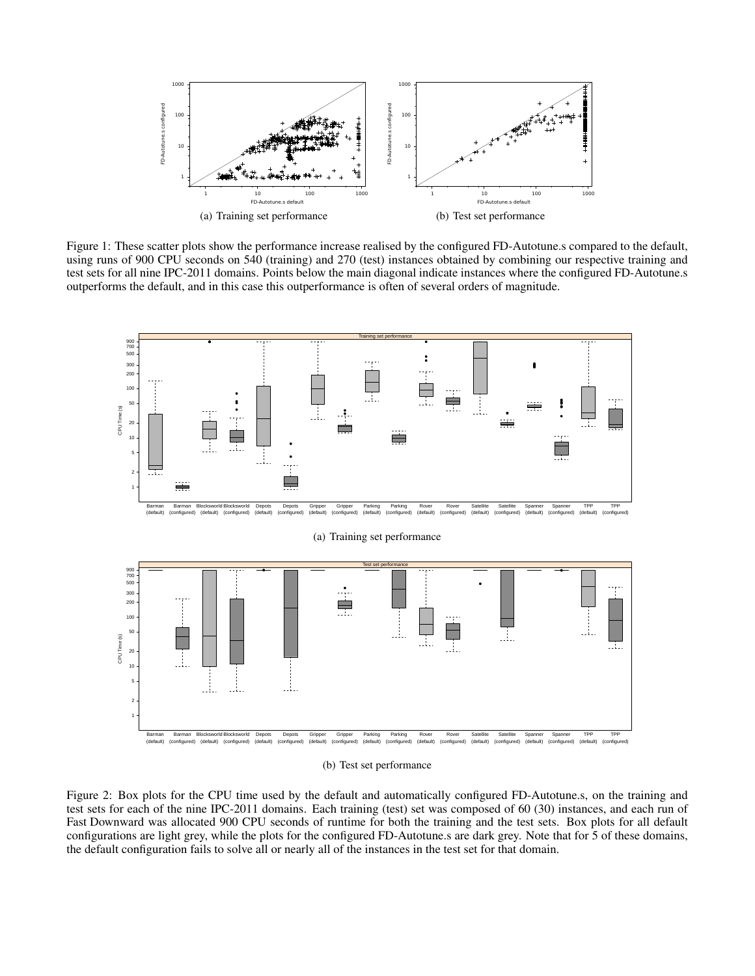

Figure 1: These scatter plots show the performance increase realised by the configured FD-Autotune.s compared to the default, using runs of 900 CPU seconds on 540 (training) and 270 (test) instances obtained by combining our respective training and test sets for all nine IPC-2011 domains. Points below the main diagonal indicate instances where the configured FD-Autotune.s outperforms the default, and in this case this outperformance is often of several orders of magnitude.



(b) Test set performance

Figure 2: Box plots for the CPU time used by the default and automatically configured FD-Autotune.s, on the training and test sets for each of the nine IPC-2011 domains. Each training (test) set was composed of 60 (30) instances, and each run of Fast Downward was allocated 900 CPU seconds of runtime for both the training and the test sets. Box plots for all default configurations are light grey, while the plots for the configured FD-Autotune.s are dark grey. Note that for 5 of these domains, the default configuration fails to solve all or nearly all of the instances in the test set for that domain.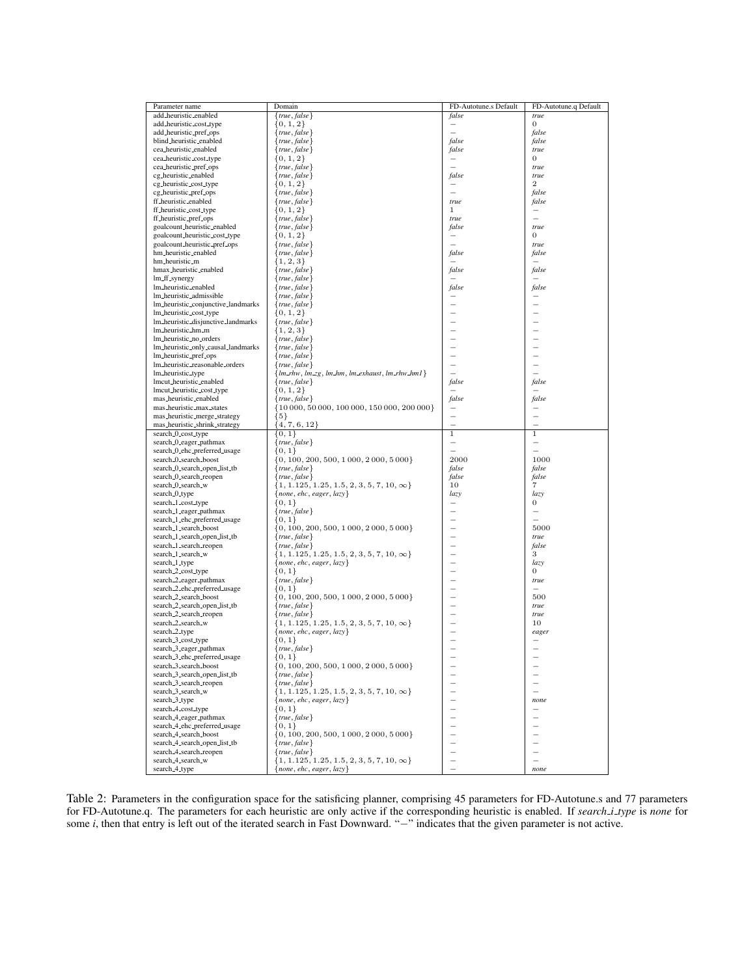| Parameter name                                        | Domain                                                                          | FD-Autotune.s Default    | FD-Autotune.q Default             |
|-------------------------------------------------------|---------------------------------------------------------------------------------|--------------------------|-----------------------------------|
| add_heuristic_enabled                                 | ${true, false}$                                                                 | false                    | true                              |
| add_heuristic_cost_type                               | $\{0, 1, 2\}$                                                                   |                          | $\overline{0}$                    |
| add_heuristic_pref_ops                                | $\{true, false\}$                                                               |                          | false                             |
| blind_heuristic_enabled                               | $\{true, false\}$                                                               | false                    | false                             |
| cea_heuristic_enabled                                 | $\{true, false\}$                                                               | false                    | $true$                            |
| cea_heuristic_cost_type                               | $\{0, 1, 2\}$                                                                   | L.                       | $\mathbf{0}$                      |
| cea_heuristic_pref_ops<br>cg_heuristic_enabled        | $\{true, false\}$<br>$\{true, false\}$                                          | false                    | true<br>true                      |
| cg_heuristic_cost_type                                | $\{0, 1, 2\}$                                                                   |                          | $\overline{2}$                    |
| cg_heuristic_pref_ops                                 | $\{true, false\}$                                                               |                          | false                             |
| ff_heuristic_enabled                                  | $\{true, false\}$                                                               | true                     | false                             |
| ff_heuristic_cost_type                                | $\{0, 1, 2\}$                                                                   | 1                        | $\overline{\phantom{0}}$          |
| ff_heuristic_pref_ops                                 | $\{true, false\}$                                                               | true                     | L.                                |
| goalcount_heuristic_enabled                           | ${true, false}$                                                                 | false                    | true                              |
| goalcount_heuristic_cost_type                         | $\{0, 1, 2\}$                                                                   |                          | 0                                 |
| goalcount_heuristic_pref_ops                          | {true, false}                                                                   |                          | true                              |
| hm_heuristic_enabled                                  | $\{true, false\}$                                                               | false                    | false<br>$\overline{\phantom{0}}$ |
| hm_heuristic_m<br>hmax_heuristic_enabled              | $\{1, 2, 3\}$<br>{true, false}                                                  | false                    | false                             |
| lm_ff_synergy                                         | $\{true, false\}$                                                               |                          |                                   |
| lm_heuristic_enabled                                  | $\{true, false\}$                                                               | false                    | false                             |
| lm_heuristic_admissible                               | $\{true, false\}$                                                               |                          |                                   |
| Im_heuristic_conjunctive_landmarks                    | $\{true, false\}$                                                               |                          | -                                 |
| lm_heuristic_cost_type                                | $\{0, 1, 2\}$                                                                   |                          | -                                 |
| lm_heuristic_disjunctive_landmarks                    | $\{true, false\}$                                                               |                          | $\overline{\phantom{0}}$          |
| lm_heuristic_hm_m                                     | $\{1, 2, 3\}$                                                                   |                          | $\overline{\phantom{0}}$          |
| lm_heuristic_no_orders                                | $\{true, false\}$                                                               |                          |                                   |
| lm_heuristic_only_causal_landmarks                    | $\{true, false\}$                                                               |                          | ÷                                 |
| lm_heuristic_pref_ops                                 | $\{true, false\}$                                                               |                          | -                                 |
| Im_heuristic_reasonable_orders                        | $\{true, false\}$                                                               | ▃<br>$\sim$              | $\overline{\phantom{0}}$<br>L.    |
| lm_heuristic_type<br>lmcut_heuristic_enabled          | ${lm_rhw, lm_zg, lm_lm, lm_zxhaust, lm_rhw_lm1}$                                | false                    | false                             |
| lmcut_heuristic_cost_type                             | $\{true, false\}$<br>$\{0, 1, 2\}$                                              | $\overline{\phantom{0}}$ | -                                 |
| mas_heuristic_enabled                                 | $\{true, false\}$                                                               | false                    | false                             |
| mas_heuristic_max_states                              | {10 000, 50 000, 100 000, 150 000, 200 000}                                     |                          |                                   |
| mas_heuristic_merge_strategy                          | ${5}$                                                                           |                          | -                                 |
| mas_heuristic_shrink_strategy                         | $\{4,7,6,12\}$                                                                  | L.                       | L.                                |
| search_0_cost_type                                    | $\{0, 1\}$                                                                      | $\mathbf{1}$             | $\mathbf{1}$                      |
| search_0_eager_pathmax                                | $\{true, false\}$                                                               |                          | $\overline{\phantom{0}}$          |
| search_0_ehc_preferred_usage                          | $\{0,1\}$                                                                       |                          | L.                                |
| search_0_search_boost                                 | $\{0, 100, 200, 500, 1000, 2000, 5000\}$                                        | 2000                     | 1000                              |
| search_0_search_open_list_tb                          | $\{true, false\}$                                                               | false                    | false                             |
| search_0_search_reopen<br>search_0_search_w           | $\{true, false\}$                                                               | false<br>10              | false<br>$\overline{7}$           |
| search_0_type                                         | $\{1, 1.125, 1.25, 1.5, 2, 3, 5, 7, 10, \infty\}$<br>${none, ehc, eager, lazy}$ | lazy                     | lazy                              |
| search_1_cost_type                                    | $\{0,1\}$                                                                       |                          | 0                                 |
| search_1_eager_pathmax                                | ${true, false}$                                                                 |                          |                                   |
| search_1_ehc_preferred_usage                          | $\{0,1\}$                                                                       |                          |                                   |
| search_1_search_boost                                 | $\{0, 100, 200, 500, 1000, 2000, 5000\}$                                        | $\overline{\phantom{0}}$ | 5000                              |
| search_1_search_open_list_tb                          | $\{true, false\}$                                                               |                          | true                              |
| search_1_search_reopen                                | $\{true, false\}$                                                               | -                        | false                             |
| search_1_search_w                                     | $\{1, 1.125, 1.25, 1.5, 2, 3, 5, 7, 10, \infty\}$                               | ▃                        | 3                                 |
| search_1_type                                         | ${none, ehc, eager, lazy}$                                                      |                          | lazy                              |
| search_2_cost_type                                    | $\{0,1\}$                                                                       |                          | 0                                 |
| search_2_eager_pathmax                                | $\{true, false\}$<br>${0,1}$                                                    |                          | true                              |
| search_2_ehc_preferred_usage<br>search_2_search_boost | $\{0, 100, 200, 500, 1000, 2000, 5000\}$                                        |                          | 500                               |
| search_2_search_open_list_tb                          | $\{true, false\}$                                                               |                          | true                              |
| search_2_search_reopen                                | $\{true, false\}$                                                               |                          | true                              |
| search_2_search_w                                     | $\{1, 1.125, 1.25, 1.5, 2, 3, 5, 7, 10, \infty\}$                               |                          | 10                                |
| search_2_type                                         | ${none, ehc, eager, lazy}$                                                      |                          | eager                             |
| search_3_cost_type                                    | $\{0,1\}$                                                                       |                          |                                   |
| search_3_eager_pathmax                                | $\{true, false\}$                                                               |                          |                                   |
| search_3_ehc_preferred_usage                          | $\{0, 1\}$                                                                      |                          |                                   |
| search_3_search_boost                                 | $\{0, 100, 200, 500, 1000, 2000, 5000\}$                                        |                          |                                   |
| search_3_search_open_list_tb                          | $\{true, false\}$                                                               |                          | $\overline{\phantom{0}}$          |
| search_3_search_reopen<br>search_3_search_w           | $\{true, false\}$                                                               |                          | $\overline{\phantom{0}}$<br>L.    |
|                                                       | $\{1, 1.125, 1.25, 1.5, 2, 3, 5, 7, 10, \infty\}$                               | $\overline{\phantom{0}}$ |                                   |
| search <sub>-3-type</sub><br>search_4_cost_type       | ${none, ehc, eager, lazy}$<br>$\{0, 1\}$                                        |                          | none                              |
| search_4_eager_pathmax                                | ${true, false}$                                                                 |                          |                                   |
| search_4_ehc_preferred_usage                          | $\{0,1\}$                                                                       |                          | -                                 |
| search_4_search_boost                                 | $\{0, 100, 200, 500, 1000, 2000, 5000\}$                                        |                          |                                   |
| search_4_search_open_list_tb                          | $\{true, false\}$                                                               |                          | -                                 |
| search_4_search_reopen                                | $\{true, false\}$                                                               |                          | $\overline{\phantom{0}}$          |
| search_4_search_w                                     | $\{1, 1.125, 1.25, 1.5, 2, 3, 5, 7, 10, \infty\}$                               |                          | $\overline{\phantom{0}}$          |
| search_4_type                                         | ${none, ehc, eager, lazy}$                                                      |                          | none                              |

Table 2: Parameters in the configuration space for the satisficing planner, comprising 45 parameters for FD-Autotune.s and 77 parameters for FD-Autotune.q. The parameters for each heuristic are only active if the corresponding heuristic is enabled. If *search i type* is *none* for some *i*, then that entry is left out of the iterated search in Fast Downward. "−" indicates that the given parameter is not active.